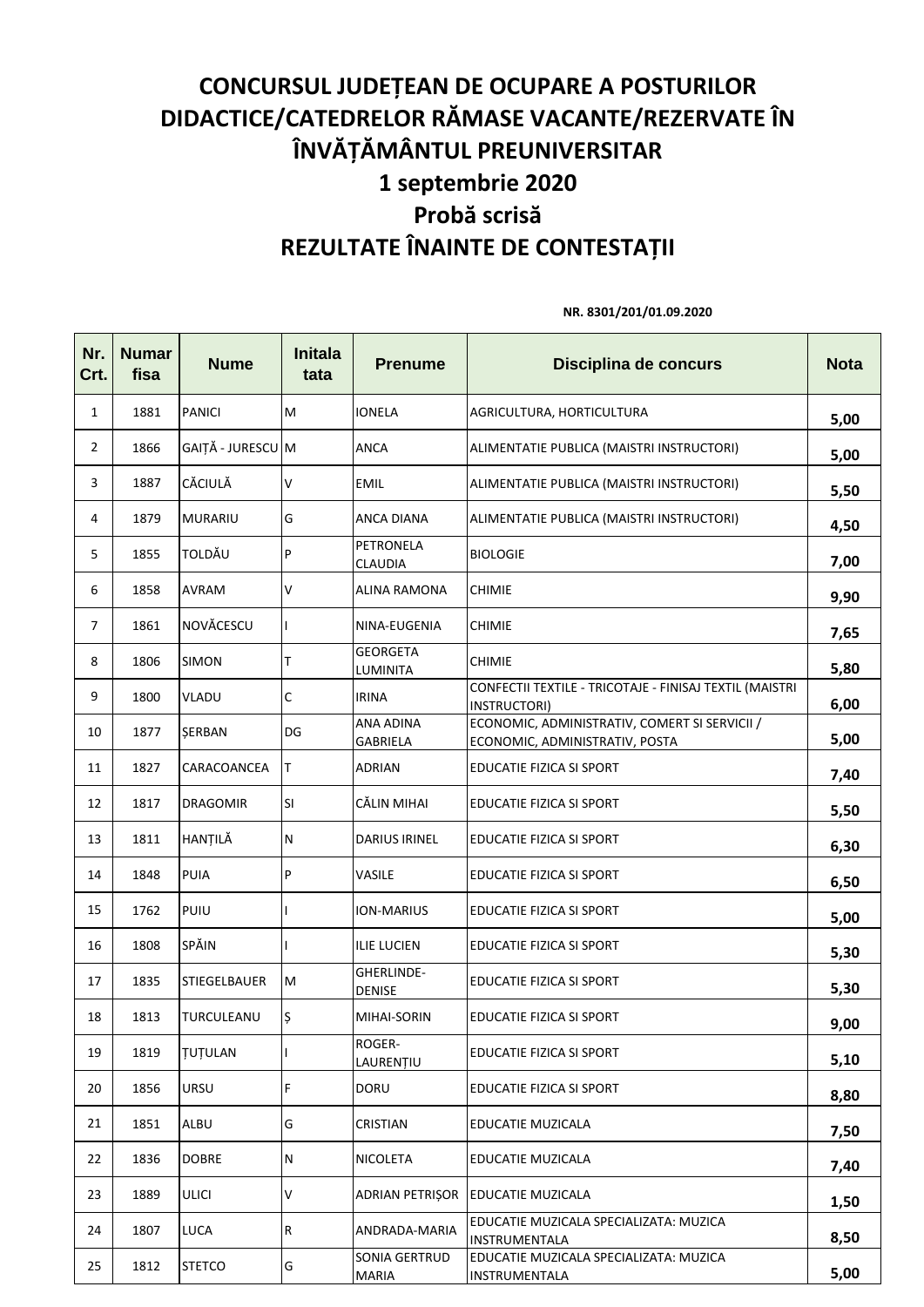## **CONCURSUL JUDEȚEAN DE OCUPARE A POSTURILOR DIDACTICE/CATEDRELOR RĂMASE VACANTE/REZERVATE ÎN ÎNVĂȚĂMÂNTUL PREUNIVERSITAR 1 septembrie 2020 Probă scrisă REZULTATE ÎNAINTE DE CONTESTAȚII**

**Nr. Crt. Numar fisa Nume Initala tata Prenume Disciplina de concurs Nota** 1 1881 PANICI M IONELA AGRICULTURA, HORTICULTURA **5,00** 2 1866 GAIȚĂ - JURESCU M ANCA ALIMENTATIE PUBLICA (MAISTRI INSTRUCTORI) **5,00** <sup>3</sup> <sup>1887</sup> CĂCIULĂ <sup>V</sup> EMIL ALIMENTATIE PUBLICA (MAISTRI INSTRUCTORI) **5,50** <sup>4</sup> <sup>1879</sup> MURARIU <sup>G</sup> ANCA DIANA ALIMENTATIE PUBLICA (MAISTRI INSTRUCTORI) **4,50** 5 1855 TOLDĂU P PETRONELA CLAUDIA BIOLOGIE **7,00** <sup>6</sup> <sup>1858</sup> AVRAM <sup>V</sup> ALINA RAMONA CHIMIE **9,90** <sup>7</sup> <sup>1861</sup> NOVĂCESCU <sup>I</sup> NINA-EUGENIA CHIMIE **7,65** 8 1806 SIMON T **GEORGETA** LUMINITA **CHIMIE** 5,80 9 | 1800 | VLADU | C | IRINA CONFECTII TEXTILE - TRICOTAJE - FINISAJ TEXTIL (MAISTRI INSTRUCTORI) **6,00** 10 1877 SERBAN DG ANA ADINA GABRIELA ECONOMIC, ADMINISTRATIV, COMERT SI SERVICII / ECONOMIC, ADMINISTRATIV, POSTA **5,00** 11 | 1827 | CARACOANCEA | T | ADRIAN | EDUCATIE FIZICA SI SPORT | **7,40** 12 | 1817 |DRAGOMIR |SI | |CĂLIN MIHAI | |EDUCATIE FIZICA SI SPORT | **5,50** <sup>13</sup> <sup>1811</sup> HANȚILĂ <sup>N</sup> DARIUS IRINEL EDUCATIE FIZICA SI SPORT **6,30** 14 1848 PUIA P VASILE EDUCATIE FIZICA SI SPORT **6,50** 15 1762 PUIU | ION-MARIUS EDUCATIE FIZICA SI SPORT **5,00** <sup>16</sup> <sup>1808</sup> SPĂIN <sup>I</sup> ILIE LUCIEN EDUCATIE FIZICA SI SPORT **5,30** 17 1835 STIEGELBAUER M GHERLINDE-DENISE EDUCATIE FIZICA SI SPORT **5,30** 18 1813 TURCULEANU S MIHAI-SORIN EDUCATIE FIZICA SI SPORT **1813** TURCULEANU S 19 1819 ȚUȚULAN I ROGER-LAURENȚIU EDUCATIE FIZICA SI SPORT **5,10** 20 1856 URSU F DORU EDUCATIE FIZICA SI SPORT **8,80** <sup>21</sup> <sup>1851</sup> ALBU <sup>G</sup> CRISTIAN EDUCATIE MUZICALA **7,50** <sup>22</sup> <sup>1836</sup> DOBRE <sup>N</sup> NICOLETA EDUCATIE MUZICALA **7,40** <sup>23</sup> <sup>1889</sup> ULICI <sup>V</sup> ADRIAN PETRIȘOR EDUCATIE MUZICALA **1,50** 24 1807 LUCA R ANDRADA-MARIA EDUCATIE MUZICALA SPECIALIZATA: MUZICA INSTRUMENTALA **8,50** 25 1812 STETCO G SONIA GERTRUD MARIA EDUCATIE MUZICALA SPECIALIZATA: MUZICA INSTRUMENTALA **5,00**

**NR. 8301/201/01.09.2020**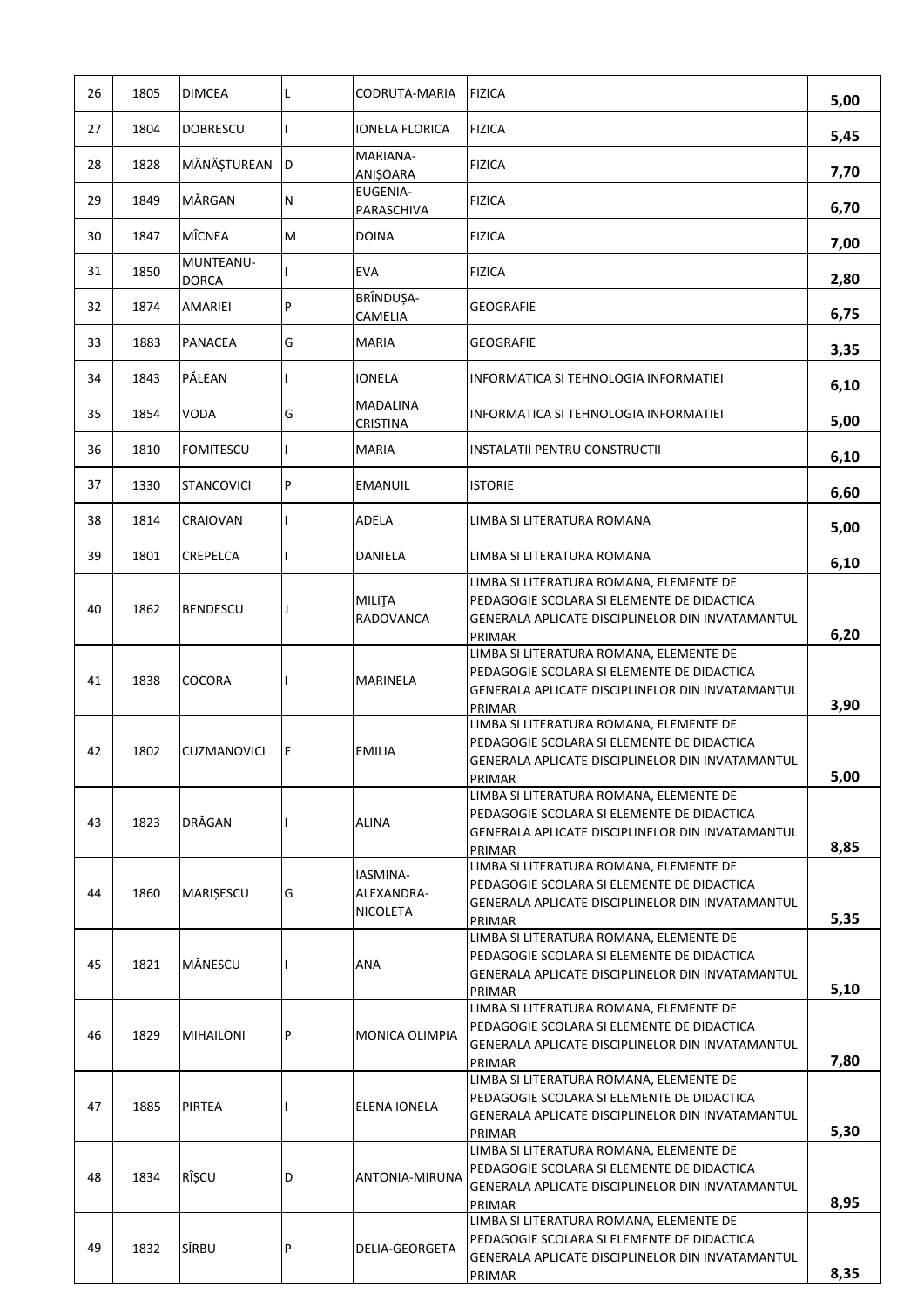| 26 | 1805 | <b>DIMCEA</b>             | Г  | CODRUTA-MARIA                             | <b>FIZICA</b>                                                                                                                                       | 5,00 |
|----|------|---------------------------|----|-------------------------------------------|-----------------------------------------------------------------------------------------------------------------------------------------------------|------|
| 27 | 1804 | <b>DOBRESCU</b>           |    | IONELA FLORICA                            | <b>FIZICA</b>                                                                                                                                       | 5,45 |
| 28 | 1828 | MĂNĂȘTUREAN               | D  | MARIANA-<br>ANIŞOARA                      | <b>FIZICA</b>                                                                                                                                       | 7,70 |
| 29 | 1849 | MĂRGAN                    | N  | <b>EUGENIA-</b><br>PARASCHIVA             | <b>FIZICA</b>                                                                                                                                       | 6,70 |
| 30 | 1847 | <b>MÎCNEA</b>             | M  | <b>DOINA</b>                              | <b>FIZICA</b>                                                                                                                                       | 7,00 |
| 31 | 1850 | MUNTEANU-<br><b>DORCA</b> |    | <b>EVA</b>                                | <b>FIZICA</b>                                                                                                                                       | 2,80 |
| 32 | 1874 | AMARIEI                   | P  | BRÎNDUȘA-<br>CAMELIA                      | GEOGRAFIE                                                                                                                                           | 6,75 |
| 33 | 1883 | PANACEA                   | G  | <b>MARIA</b>                              | <b>GEOGRAFIE</b>                                                                                                                                    | 3,35 |
| 34 | 1843 | PĂLEAN                    |    | <b>IONELA</b>                             | INFORMATICA SI TEHNOLOGIA INFORMATIEI                                                                                                               | 6,10 |
| 35 | 1854 | <b>VODA</b>               | G  | <b>MADALINA</b><br>CRISTINA               | INFORMATICA SI TEHNOLOGIA INFORMATIEI                                                                                                               | 5,00 |
| 36 | 1810 | <b>FOMITESCU</b>          |    | <b>MARIA</b>                              | INSTALATII PENTRU CONSTRUCTII                                                                                                                       | 6,10 |
| 37 | 1330 | <b>STANCOVICI</b>         | P  | <b>EMANUIL</b>                            | <b>ISTORIE</b>                                                                                                                                      | 6,60 |
| 38 | 1814 | CRAIOVAN                  |    | <b>ADELA</b>                              | LIMBA SI LITERATURA ROMANA                                                                                                                          | 5,00 |
| 39 | 1801 | CREPELCA                  |    | DANIELA                                   | LIMBA SI LITERATURA ROMANA                                                                                                                          | 6,10 |
| 40 | 1862 | <b>BENDESCU</b>           | J. | <b>MILITA</b><br><b>RADOVANCA</b>         | LIMBA SI LITERATURA ROMANA, ELEMENTE DE<br>PEDAGOGIE SCOLARA SI ELEMENTE DE DIDACTICA<br>GENERALA APLICATE DISCIPLINELOR DIN INVATAMANTUL<br>PRIMAR | 6,20 |
| 41 | 1838 | COCORA                    |    | MARINELA                                  | LIMBA SI LITERATURA ROMANA, ELEMENTE DE<br>PEDAGOGIE SCOLARA SI ELEMENTE DE DIDACTICA<br>GENERALA APLICATE DISCIPLINELOR DIN INVATAMANTUL<br>PRIMAR | 3,90 |
| 42 | 1802 | <b>CUZMANOVICI</b>        | E  | <b>EMILIA</b>                             | LIMBA SI LITERATURA ROMANA, ELEMENTE DE<br>PEDAGOGIE SCOLARA SI ELEMENTE DE DIDACTICA<br>GENERALA APLICATE DISCIPLINELOR DIN INVATAMANTUL<br>PRIMAR | 5,00 |
| 43 | 1823 | DRĂGAN                    |    | <b>ALINA</b>                              | LIMBA SI LITERATURA ROMANA, ELEMENTE DE<br>PEDAGOGIE SCOLARA SI ELEMENTE DE DIDACTICA<br>GENERALA APLICATE DISCIPLINELOR DIN INVATAMANTUL<br>PRIMAR | 8,85 |
| 44 | 1860 | MARISESCU                 | G  | IASMINA-<br>ALEXANDRA-<br><b>NICOLETA</b> | LIMBA SI LITERATURA ROMANA, ELEMENTE DE<br>PEDAGOGIE SCOLARA SI ELEMENTE DE DIDACTICA<br>GENERALA APLICATE DISCIPLINELOR DIN INVATAMANTUL<br>PRIMAR | 5,35 |
| 45 | 1821 | MĂNESCU                   |    | ANA                                       | LIMBA SI LITERATURA ROMANA, ELEMENTE DE<br>PEDAGOGIE SCOLARA SI ELEMENTE DE DIDACTICA<br>GENERALA APLICATE DISCIPLINELOR DIN INVATAMANTUL<br>PRIMAR | 5,10 |
| 46 | 1829 | <b>MIHAILONI</b>          | P  | MONICA OLIMPIA                            | LIMBA SI LITERATURA ROMANA, ELEMENTE DE<br>PEDAGOGIE SCOLARA SI ELEMENTE DE DIDACTICA<br>GENERALA APLICATE DISCIPLINELOR DIN INVATAMANTUL<br>PRIMAR | 7,80 |
| 47 | 1885 | PIRTEA                    |    | ELENA IONELA                              | LIMBA SI LITERATURA ROMANA, ELEMENTE DE<br>PEDAGOGIE SCOLARA SI ELEMENTE DE DIDACTICA<br>GENERALA APLICATE DISCIPLINELOR DIN INVATAMANTUL<br>PRIMAR | 5,30 |
| 48 | 1834 | RÎȘCU                     | D  | ANTONIA-MIRUNA                            | LIMBA SI LITERATURA ROMANA, ELEMENTE DE<br>PEDAGOGIE SCOLARA SI ELEMENTE DE DIDACTICA<br>GENERALA APLICATE DISCIPLINELOR DIN INVATAMANTUL<br>PRIMAR | 8,95 |
| 49 | 1832 | SÎRBU                     | P  | DELIA-GEORGETA                            | LIMBA SI LITERATURA ROMANA, ELEMENTE DE<br>PEDAGOGIE SCOLARA SI ELEMENTE DE DIDACTICA<br>GENERALA APLICATE DISCIPLINELOR DIN INVATAMANTUL<br>PRIMAR | 8,35 |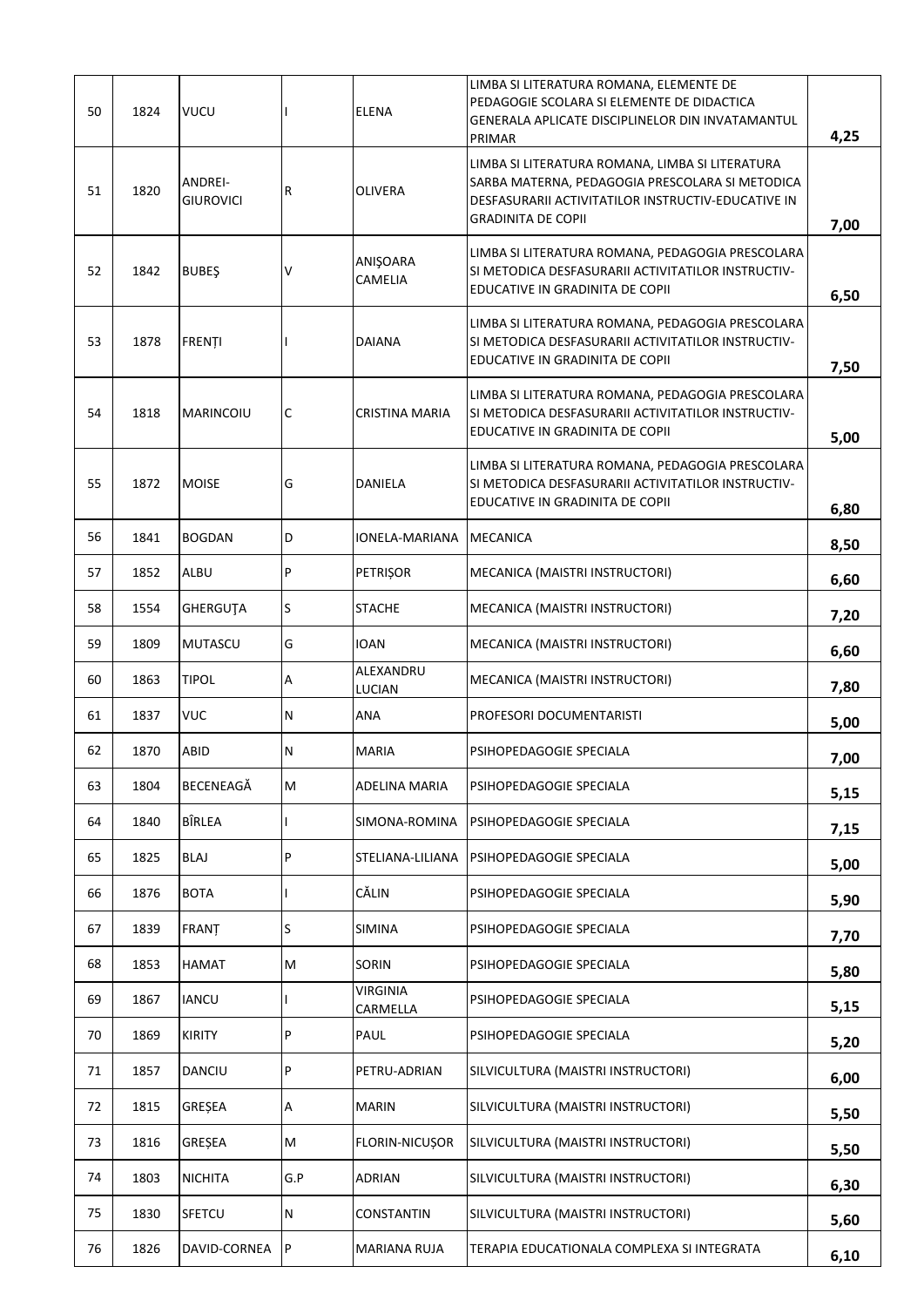|    |      |                             |           |                             | LIMBA SI LITERATURA ROMANA, ELEMENTE DE                                                                                                                                                         |      |
|----|------|-----------------------------|-----------|-----------------------------|-------------------------------------------------------------------------------------------------------------------------------------------------------------------------------------------------|------|
| 50 | 1824 | <b>VUCU</b>                 |           | <b>ELENA</b>                | PEDAGOGIE SCOLARA SI ELEMENTE DE DIDACTICA<br>GENERALA APLICATE DISCIPLINELOR DIN INVATAMANTUL                                                                                                  | 4,25 |
| 51 | 1820 | ANDREI-<br><b>GIUROVICI</b> | R         | <b>OLIVERA</b>              | PRIMAR<br>LIMBA SI LITERATURA ROMANA, LIMBA SI LITERATURA<br>SARBA MATERNA, PEDAGOGIA PRESCOLARA SI METODICA<br>DESFASURARII ACTIVITATILOR INSTRUCTIV-EDUCATIVE IN<br><b>GRADINITA DE COPII</b> | 7,00 |
| 52 | 1842 | <b>BUBES</b>                | V         | ANIŞOARA<br>CAMELIA         | LIMBA SI LITERATURA ROMANA, PEDAGOGIA PRESCOLARA<br>SI METODICA DESFASURARII ACTIVITATILOR INSTRUCTIV-<br>EDUCATIVE IN GRADINITA DE COPII                                                       | 6,50 |
| 53 | 1878 | <b>FRENTI</b>               |           | <b>DAIANA</b>               | LIMBA SI LITERATURA ROMANA, PEDAGOGIA PRESCOLARA<br>SI METODICA DESFASURARII ACTIVITATILOR INSTRUCTIV-<br>EDUCATIVE IN GRADINITA DE COPII                                                       | 7,50 |
| 54 | 1818 | <b>MARINCOIU</b>            | C         | CRISTINA MARIA              | LIMBA SI LITERATURA ROMANA, PEDAGOGIA PRESCOLARA<br>SI METODICA DESFASURARII ACTIVITATILOR INSTRUCTIV-<br>EDUCATIVE IN GRADINITA DE COPII                                                       | 5,00 |
| 55 | 1872 | <b>MOISE</b>                | G         | DANIELA                     | LIMBA SI LITERATURA ROMANA, PEDAGOGIA PRESCOLARA<br>SI METODICA DESFASURARII ACTIVITATILOR INSTRUCTIV-<br>EDUCATIVE IN GRADINITA DE COPII                                                       | 6,80 |
| 56 | 1841 | <b>BOGDAN</b>               | D         | IONELA-MARIANA              | MECANICA                                                                                                                                                                                        | 8,50 |
| 57 | 1852 | ALBU                        | P         | <b>PETRIȘOR</b>             | MECANICA (MAISTRI INSTRUCTORI)                                                                                                                                                                  | 6,60 |
| 58 | 1554 | GHERGUTA                    | S         | <b>STACHE</b>               | MECANICA (MAISTRI INSTRUCTORI)                                                                                                                                                                  | 7,20 |
| 59 | 1809 | <b>MUTASCU</b>              | G         | IOAN                        | MECANICA (MAISTRI INSTRUCTORI)                                                                                                                                                                  | 6,60 |
| 60 | 1863 | <b>TIPOL</b>                | А         | ALEXANDRU<br>LUCIAN         | MECANICA (MAISTRI INSTRUCTORI)                                                                                                                                                                  | 7,80 |
| 61 | 1837 | <b>VUC</b>                  | ${\sf N}$ | <b>ANA</b>                  | PROFESORI DOCUMENTARISTI                                                                                                                                                                        | 5,00 |
| 62 | 1870 | <b>ABID</b>                 | N         | <b>MARIA</b>                | PSIHOPEDAGOGIE SPECIALA                                                                                                                                                                         | 7,00 |
| 63 | 1804 | BECENEAGĂ                   | M         | ADELINA MARIA               | PSIHOPEDAGOGIE SPECIALA                                                                                                                                                                         | 5,15 |
| 64 | 1840 | BÎRLEA                      |           | SIMONA-ROMINA               | PSIHOPEDAGOGIE SPECIALA                                                                                                                                                                         | 7,15 |
| 65 | 1825 | <b>BLAJ</b>                 | P         | STELIANA-LILIANA            | PSIHOPEDAGOGIE SPECIALA                                                                                                                                                                         | 5,00 |
| 66 | 1876 | <b>BOTA</b>                 |           | CĂLIN                       | PSIHOPEDAGOGIE SPECIALA                                                                                                                                                                         | 5,90 |
| 67 | 1839 | FRANȚ                       | S         | SIMINA                      | PSIHOPEDAGOGIE SPECIALA                                                                                                                                                                         | 7,70 |
| 68 | 1853 | HAMAT                       | M         | <b>SORIN</b>                | PSIHOPEDAGOGIE SPECIALA                                                                                                                                                                         | 5,80 |
| 69 | 1867 | <b>IANCU</b>                |           | <b>VIRGINIA</b><br>CARMELLA | PSIHOPEDAGOGIE SPECIALA                                                                                                                                                                         | 5,15 |
| 70 | 1869 | <b>KIRITY</b>               | P         | PAUL                        | PSIHOPEDAGOGIE SPECIALA                                                                                                                                                                         | 5,20 |
| 71 | 1857 | DANCIU                      | P         | PETRU-ADRIAN                | SILVICULTURA (MAISTRI INSTRUCTORI)                                                                                                                                                              | 6,00 |
| 72 | 1815 | GREȘEA                      | Α         | <b>MARIN</b>                | SILVICULTURA (MAISTRI INSTRUCTORI)                                                                                                                                                              | 5,50 |
| 73 | 1816 | GRESEA                      | M         | FLORIN-NICUSOR              | SILVICULTURA (MAISTRI INSTRUCTORI)                                                                                                                                                              | 5,50 |
| 74 | 1803 | <b>NICHITA</b>              | G.P       | ADRIAN                      | SILVICULTURA (MAISTRI INSTRUCTORI)                                                                                                                                                              | 6,30 |
| 75 | 1830 | <b>SFETCU</b>               | ${\sf N}$ | CONSTANTIN                  | SILVICULTURA (MAISTRI INSTRUCTORI)                                                                                                                                                              | 5,60 |
| 76 | 1826 | DAVID-CORNEA                | P         | <b>MARIANA RUJA</b>         | TERAPIA EDUCATIONALA COMPLEXA SI INTEGRATA                                                                                                                                                      | 6,10 |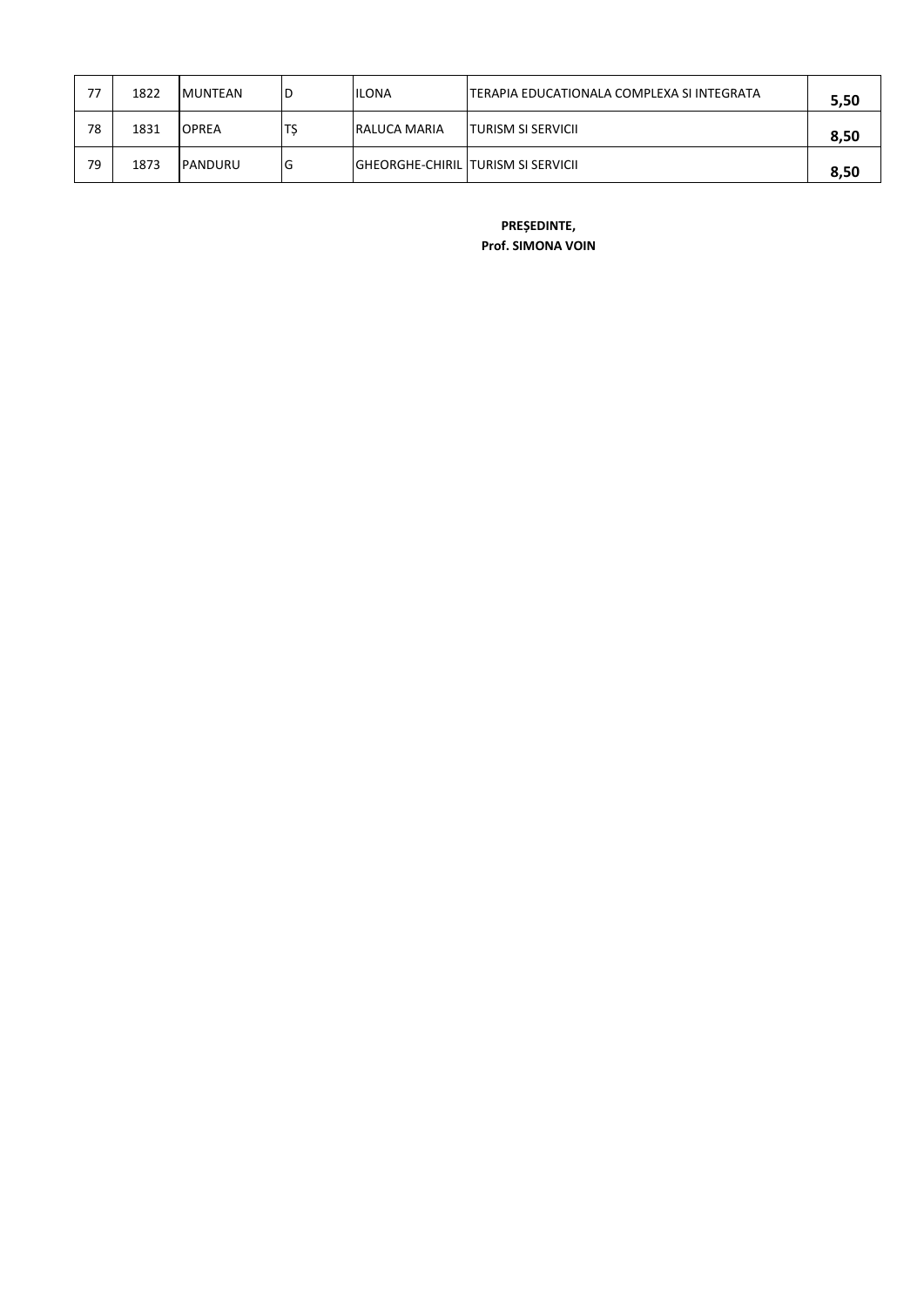| 77 | 1822 | <b>MUNTEAN</b> | ١D | <b>ILONA</b>                          | ITERAPIA EDUCATIONALA COMPLEXA SI INTEGRATA | 5,50 |
|----|------|----------------|----|---------------------------------------|---------------------------------------------|------|
| 78 | 1831 | <b>OPREA</b>   | Ľ  | <b>RALUCA MARIA</b>                   | <b>ITURISM SI SERVICII</b>                  | 8,50 |
| 79 | 1873 | <b>PANDURU</b> | lG | IGHEORGHE-CHIRIL ITURISM SI SERVICII. |                                             | 8,50 |

**PREȘEDINTE,**

**Prof. SIMONA VOIN**